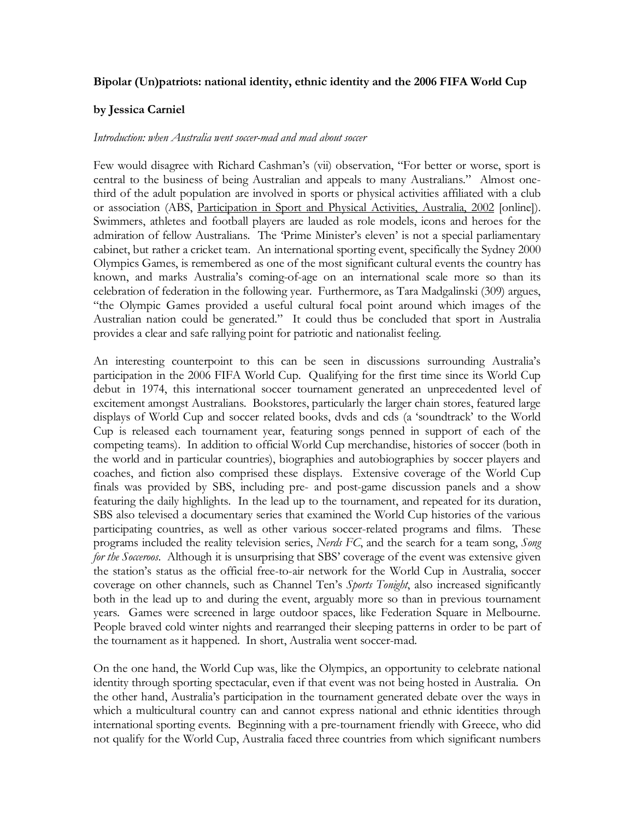## **Bipolar (Un)patriots: national identity, ethnic identity and the 2006 FIFA World Cup**

## **by Jessica Carniel**

### *Introduction: when Australia went soccer-mad and mad about soccer*

Few would disagree with Richard Cashman's (vii) observation, "For better or worse, sport is central to the business of being Australian and appeals to many Australians." Almost onethird of the adult population are involved in sports or physical activities affiliated with a club or association (ABS, Participation in Sport and Physical Activities, Australia, 2002 [online]). Swimmers, athletes and football players are lauded as role models, icons and heroes for the admiration of fellow Australians. The 'Prime Minister's eleven' is not a special parliamentary cabinet, but rather a cricket team. An international sporting event, specifically the Sydney 2000 Olympics Games, is remembered as one of the most significant cultural events the country has known, and marks Australia's coming-of-age on an international scale more so than its celebration of federation in the following year. Furthermore, as Tara Madgalinski (309) argues, "the Olympic Games provided a useful cultural focal point around which images of the Australian nation could be generated." It could thus be concluded that sport in Australia provides a clear and safe rallying point for patriotic and nationalist feeling.

An interesting counterpoint to this can be seen in discussions surrounding Australia's participation in the 2006 FIFA World Cup. Qualifying for the first time since its World Cup debut in 1974, this international soccer tournament generated an unprecedented level of excitement amongst Australians. Bookstores, particularly the larger chain stores, featured large displays of World Cup and soccer related books, dvds and cds (a 'soundtrack' to the World Cup is released each tournament year, featuring songs penned in support of each of the competing teams). In addition to official World Cup merchandise, histories of soccer (both in the world and in particular countries), biographies and autobiographies by soccer players and coaches, and fiction also comprised these displays. Extensive coverage of the World Cup finals was provided by SBS, including pre- and post-game discussion panels and a show featuring the daily highlights. In the lead up to the tournament, and repeated for its duration, SBS also televised a documentary series that examined the World Cup histories of the various participating countries, as well as other various soccer-related programs and films. These programs included the reality television series, *Nerds FC*, and the search for a team song, *Song for the Socceroos*. Although it is unsurprising that SBS' coverage of the event was extensive given the station's status as the official free-to-air network for the World Cup in Australia, soccer coverage on other channels, such as Channel Ten's *Sports Tonight*, also increased significantly both in the lead up to and during the event, arguably more so than in previous tournament years. Games were screened in large outdoor spaces, like Federation Square in Melbourne. People braved cold winter nights and rearranged their sleeping patterns in order to be part of the tournament as it happened. In short, Australia went soccer-mad.

On the one hand, the World Cup was, like the Olympics, an opportunity to celebrate national identity through sporting spectacular, even if that event was not being hosted in Australia. On the other hand, Australia's participation in the tournament generated debate over the ways in which a multicultural country can and cannot express national and ethnic identities through international sporting events. Beginning with a pre-tournament friendly with Greece, who did not qualify for the World Cup, Australia faced three countries from which significant numbers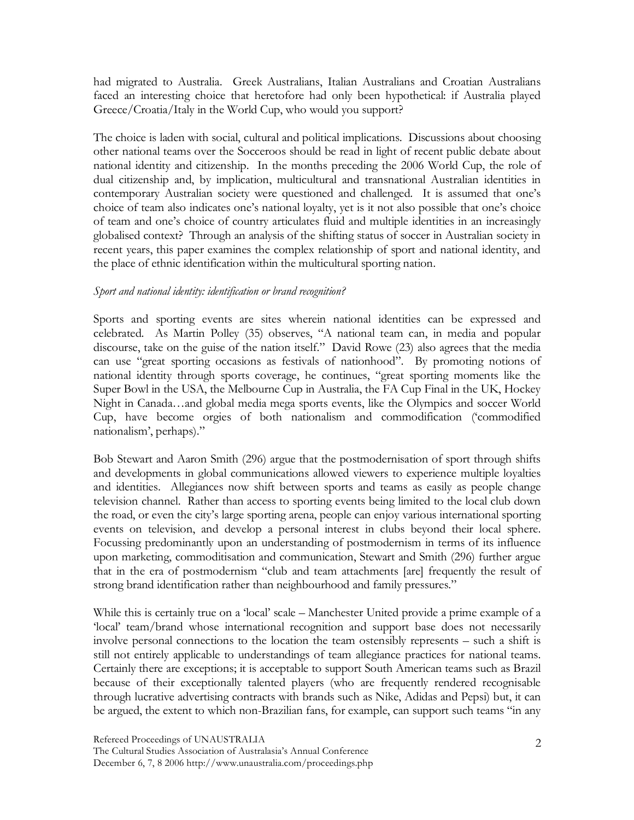had migrated to Australia. Greek Australians, Italian Australians and Croatian Australians faced an interesting choice that heretofore had only been hypothetical: if Australia played Greece/Croatia/Italy in the World Cup, who would you support?

The choice is laden with social, cultural and political implications. Discussions about choosing other national teams over the Socceroos should be read in light of recent public debate about national identity and citizenship. In the months preceding the 2006 World Cup, the role of dual citizenship and, by implication, multicultural and transnational Australian identities in contemporary Australian society were questioned and challenged. It is assumed that one's choice of team also indicates one's national loyalty, yet is it not also possible that one's choice of team and one's choice of country articulates fluid and multiple identities in an increasingly globalised context? Through an analysis of the shifting status of soccer in Australian society in recent years, this paper examines the complex relationship of sport and national identity, and the place of ethnic identification within the multicultural sporting nation.

# *Sport and national identity: identification or brand recognition?*

Sports and sporting events are sites wherein national identities can be expressed and celebrated. As Martin Polley (35) observes, "A national team can, in media and popular discourse, take on the guise of the nation itself." David Rowe (23) also agrees that the media can use "great sporting occasions as festivals of nationhood". By promoting notions of national identity through sports coverage, he continues, "great sporting moments like the Super Bowl in the USA, the Melbourne Cup in Australia, the FA Cup Final in the UK, Hockey Night in Canada…and global media mega sports events, like the Olympics and soccer World Cup, have become orgies of both nationalism and commodification ('commodified nationalism', perhaps)."

Bob Stewart and Aaron Smith (296) argue that the postmodernisation of sport through shifts and developments in global communications allowed viewers to experience multiple loyalties and identities. Allegiances now shift between sports and teams as easily as people change television channel. Rather than access to sporting events being limited to the local club down the road, or even the city's large sporting arena, people can enjoy various international sporting events on television, and develop a personal interest in clubs beyond their local sphere. Focussing predominantly upon an understanding of postmodernism in terms of its influence upon marketing, commoditisation and communication, Stewart and Smith (296) further argue that in the era of postmodernism "club and team attachments [are] frequently the result of strong brand identification rather than neighbourhood and family pressures."

While this is certainly true on a 'local' scale – Manchester United provide a prime example of a 'local' team/brand whose international recognition and support base does not necessarily involve personal connections to the location the team ostensibly represents – such a shift is still not entirely applicable to understandings of team allegiance practices for national teams. Certainly there are exceptions; it is acceptable to support South American teams such as Brazil because of their exceptionally talented players (who are frequently rendered recognisable through lucrative advertising contracts with brands such as Nike, Adidas and Pepsi) but, it can be argued, the extent to which non-Brazilian fans, for example, can support such teams "in any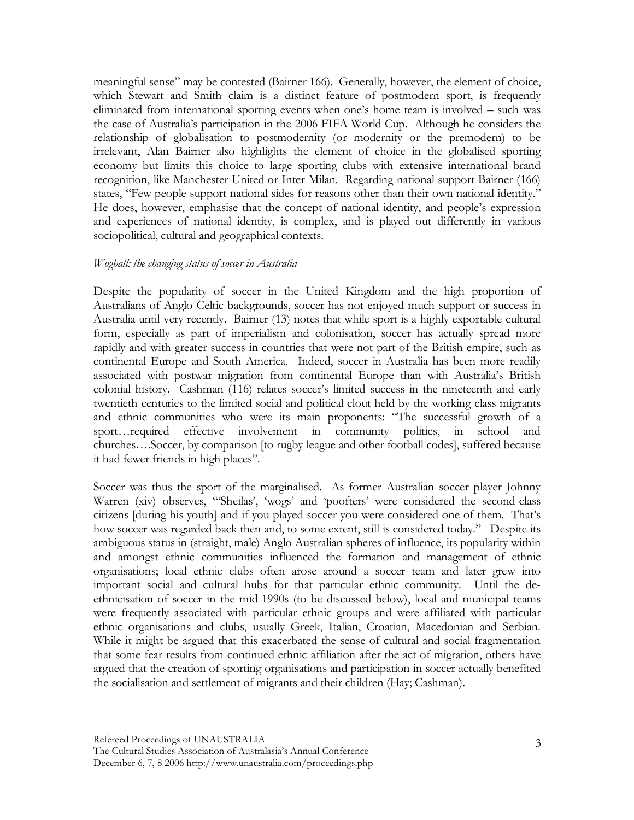meaningful sense" may be contested (Bairner 166). Generally, however, the element of choice, which Stewart and Smith claim is a distinct feature of postmodern sport, is frequently eliminated from international sporting events when one's home team is involved – such was the case of Australia's participation in the 2006 FIFA World Cup. Although he considers the relationship of globalisation to postmodernity (or modernity or the premodern) to be irrelevant, Alan Bairner also highlights the element of choice in the globalised sporting economy but limits this choice to large sporting clubs with extensive international brand recognition, like Manchester United or Inter Milan. Regarding national support Bairner (166) states, "Few people support national sides for reasons other than their own national identity." He does, however, emphasise that the concept of national identity, and people's expression and experiences of national identity, is complex, and is played out differently in various sociopolitical, cultural and geographical contexts.

### *Wogball: the changing status of soccer in Australia*

Despite the popularity of soccer in the United Kingdom and the high proportion of Australians of Anglo Celtic backgrounds, soccer has not enjoyed much support or success in Australia until very recently. Bairner (13) notes that while sport is a highly exportable cultural form, especially as part of imperialism and colonisation, soccer has actually spread more rapidly and with greater success in countries that were not part of the British empire, such as continental Europe and South America. Indeed, soccer in Australia has been more readily associated with postwar migration from continental Europe than with Australia's British colonial history. Cashman (116) relates soccer's limited success in the nineteenth and early twentieth centuries to the limited social and political clout held by the working class migrants and ethnic communities who were its main proponents: "The successful growth of a sport…required effective involvement in community politics, in school and churches….Soccer, by comparison [to rugby league and other football codes], suffered because it had fewer friends in high places".

Soccer was thus the sport of the marginalised. As former Australian soccer player Johnny Warren (xiv) observes, "'Sheilas', 'wogs' and 'poofters' were considered the second-class citizens [during his youth] and if you played soccer you were considered one of them. That's how soccer was regarded back then and, to some extent, still is considered today." Despite its ambiguous status in (straight, male) Anglo Australian spheres of influence, its popularity within and amongst ethnic communities influenced the formation and management of ethnic organisations; local ethnic clubs often arose around a soccer team and later grew into important social and cultural hubs for that particular ethnic community. Until the deethnicisation of soccer in the mid-1990s (to be discussed below), local and municipal teams were frequently associated with particular ethnic groups and were affiliated with particular ethnic organisations and clubs, usually Greek, Italian, Croatian, Macedonian and Serbian. While it might be argued that this exacerbated the sense of cultural and social fragmentation that some fear results from continued ethnic affiliation after the act of migration, others have argued that the creation of sporting organisations and participation in soccer actually benefited the socialisation and settlement of migrants and their children (Hay; Cashman).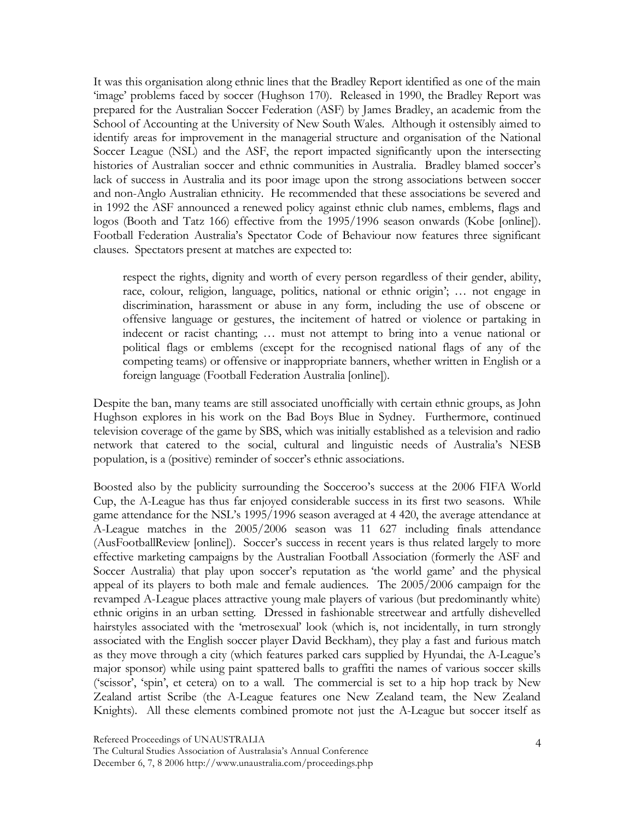It was this organisation along ethnic lines that the Bradley Report identified as one of the main 'image' problems faced by soccer (Hughson 170). Released in 1990, the Bradley Report was prepared for the Australian Soccer Federation (ASF) by James Bradley, an academic from the School of Accounting at the University of New South Wales. Although it ostensibly aimed to identify areas for improvement in the managerial structure and organisation of the National Soccer League (NSL) and the ASF, the report impacted significantly upon the intersecting histories of Australian soccer and ethnic communities in Australia. Bradley blamed soccer's lack of success in Australia and its poor image upon the strong associations between soccer and non-Anglo Australian ethnicity. He recommended that these associations be severed and in 1992 the ASF announced a renewed policy against ethnic club names, emblems, flags and logos (Booth and Tatz 166) effective from the 1995/1996 season onwards (Kobe [online]). Football Federation Australia's Spectator Code of Behaviour now features three significant clauses. Spectators present at matches are expected to:

respect the rights, dignity and worth of every person regardless of their gender, ability, race, colour, religion, language, politics, national or ethnic origin'; … not engage in discrimination, harassment or abuse in any form, including the use of obscene or offensive language or gestures, the incitement of hatred or violence or partaking in indecent or racist chanting; … must not attempt to bring into a venue national or political flags or emblems (except for the recognised national flags of any of the competing teams) or offensive or inappropriate banners, whether written in English or a foreign language (Football Federation Australia [online]).

Despite the ban, many teams are still associated unofficially with certain ethnic groups, as John Hughson explores in his work on the Bad Boys Blue in Sydney. Furthermore, continued television coverage of the game by SBS, which was initially established as a television and radio network that catered to the social, cultural and linguistic needs of Australia's NESB population, is a (positive) reminder of soccer's ethnic associations.

Boosted also by the publicity surrounding the Socceroo's success at the 2006 FIFA World Cup, the A-League has thus far enjoyed considerable success in its first two seasons. While game attendance for the NSL's 1995/1996 season averaged at 4 420, the average attendance at A-League matches in the 2005/2006 season was 11 627 including finals attendance (AusFootballReview [online]). Soccer's success in recent years is thus related largely to more effective marketing campaigns by the Australian Football Association (formerly the ASF and Soccer Australia) that play upon soccer's reputation as 'the world game' and the physical appeal of its players to both male and female audiences. The 2005/2006 campaign for the revamped A-League places attractive young male players of various (but predominantly white) ethnic origins in an urban setting. Dressed in fashionable streetwear and artfully dishevelled hairstyles associated with the 'metrosexual' look (which is, not incidentally, in turn strongly associated with the English soccer player David Beckham), they play a fast and furious match as they move through a city (which features parked cars supplied by Hyundai, the A-League's major sponsor) while using paint spattered balls to graffiti the names of various soccer skills ('scissor', 'spin', et cetera) on to a wall. The commercial is set to a hip hop track by New Zealand artist Scribe (the A-League features one New Zealand team, the New Zealand Knights). All these elements combined promote not just the A-League but soccer itself as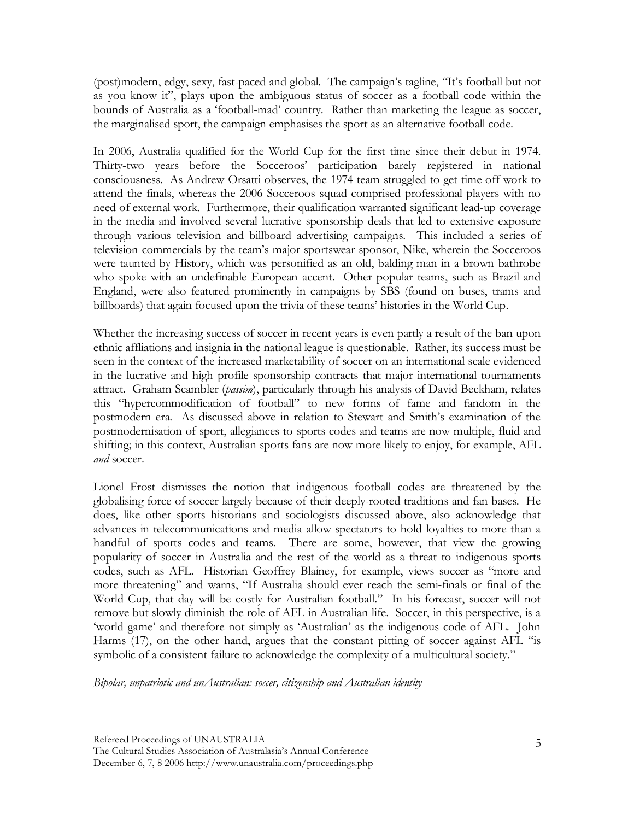(post)modern, edgy, sexy, fast-paced and global. The campaign's tagline, "It's football but not as you know it", plays upon the ambiguous status of soccer as a football code within the bounds of Australia as a 'football-mad' country. Rather than marketing the league as soccer, the marginalised sport, the campaign emphasises the sport as an alternative football code.

In 2006, Australia qualified for the World Cup for the first time since their debut in 1974. Thirty-two years before the Socceroos' participation barely registered in national consciousness. As Andrew Orsatti observes, the 1974 team struggled to get time off work to attend the finals, whereas the 2006 Socceroos squad comprised professional players with no need of external work. Furthermore, their qualification warranted significant lead-up coverage in the media and involved several lucrative sponsorship deals that led to extensive exposure through various television and billboard advertising campaigns. This included a series of television commercials by the team's major sportswear sponsor, Nike, wherein the Socceroos were taunted by History, which was personified as an old, balding man in a brown bathrobe who spoke with an undefinable European accent. Other popular teams, such as Brazil and England, were also featured prominently in campaigns by SBS (found on buses, trams and billboards) that again focused upon the trivia of these teams' histories in the World Cup.

Whether the increasing success of soccer in recent years is even partly a result of the ban upon ethnic affliations and insignia in the national league is questionable. Rather, its success must be seen in the context of the increased marketability of soccer on an international scale evidenced in the lucrative and high profile sponsorship contracts that major international tournaments attract. Graham Scambler (*passim*), particularly through his analysis of David Beckham, relates this "hypercommodification of football" to new forms of fame and fandom in the postmodern era. As discussed above in relation to Stewart and Smith's examination of the postmodernisation of sport, allegiances to sports codes and teams are now multiple, fluid and shifting; in this context, Australian sports fans are now more likely to enjoy, for example, AFL *and* soccer.

Lionel Frost dismisses the notion that indigenous football codes are threatened by the globalising force of soccer largely because of their deeply-rooted traditions and fan bases. He does, like other sports historians and sociologists discussed above, also acknowledge that advances in telecommunications and media allow spectators to hold loyalties to more than a handful of sports codes and teams. There are some, however, that view the growing popularity of soccer in Australia and the rest of the world as a threat to indigenous sports codes, such as AFL. Historian Geoffrey Blainey, for example, views soccer as "more and more threatening" and warns, "If Australia should ever reach the semi-finals or final of the World Cup, that day will be costly for Australian football." In his forecast, soccer will not remove but slowly diminish the role of AFL in Australian life. Soccer, in this perspective, is a 'world game' and therefore not simply as 'Australian' as the indigenous code of AFL. John Harms (17), on the other hand, argues that the constant pitting of soccer against AFL "is symbolic of a consistent failure to acknowledge the complexity of a multicultural society."

*Bipolar, unpatriotic and unAustralian: soccer, citizenship and Australian identity*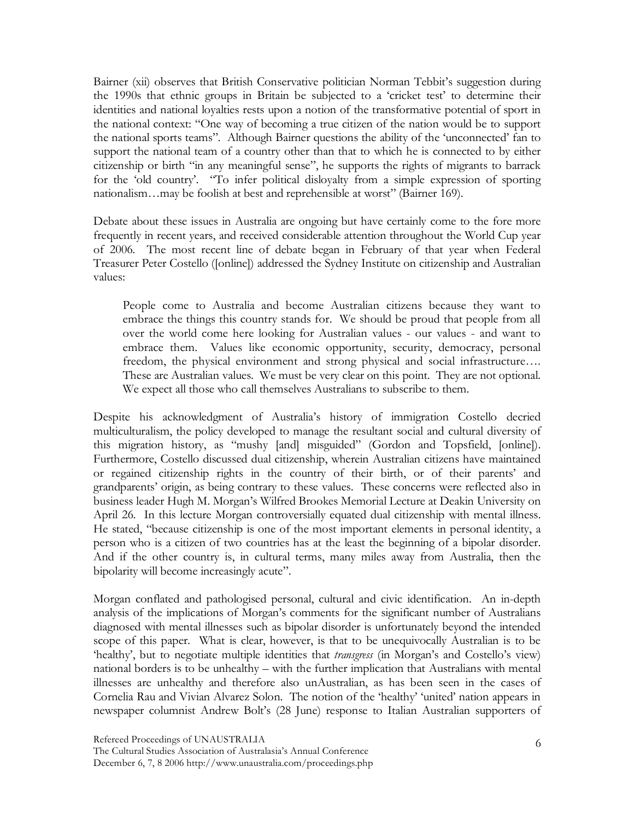Bairner (xii) observes that British Conservative politician Norman Tebbit's suggestion during the 1990s that ethnic groups in Britain be subjected to a 'cricket test' to determine their identities and national loyalties rests upon a notion of the transformative potential of sport in the national context: "One way of becoming a true citizen of the nation would be to support the national sports teams". Although Bairner questions the ability of the 'unconnected' fan to support the national team of a country other than that to which he is connected to by either citizenship or birth "in any meaningful sense", he supports the rights of migrants to barrack for the 'old country'. "To infer political disloyalty from a simple expression of sporting nationalism…may be foolish at best and reprehensible at worst" (Bairner 169).

Debate about these issues in Australia are ongoing but have certainly come to the fore more frequently in recent years, and received considerable attention throughout the World Cup year of 2006. The most recent line of debate began in February of that year when Federal Treasurer Peter Costello ([online]) addressed the Sydney Institute on citizenship and Australian values:

People come to Australia and become Australian citizens because they want to embrace the things this country stands for. We should be proud that people from all over the world come here looking for Australian values - our values - and want to embrace them. Values like economic opportunity, security, democracy, personal freedom, the physical environment and strong physical and social infrastructure…. These are Australian values. We must be very clear on this point. They are not optional. We expect all those who call themselves Australians to subscribe to them.

Despite his acknowledgment of Australia's history of immigration Costello decried multiculturalism, the policy developed to manage the resultant social and cultural diversity of this migration history, as "mushy [and] misguided" (Gordon and Topsfield, [online]). Furthermore, Costello discussed dual citizenship, wherein Australian citizens have maintained or regained citizenship rights in the country of their birth, or of their parents' and grandparents' origin, as being contrary to these values. These concerns were reflected also in business leader Hugh M. Morgan's Wilfred Brookes Memorial Lecture at Deakin University on April 26. In this lecture Morgan controversially equated dual citizenship with mental illness. He stated, "because citizenship is one of the most important elements in personal identity, a person who is a citizen of two countries has at the least the beginning of a bipolar disorder. And if the other country is, in cultural terms, many miles away from Australia, then the bipolarity will become increasingly acute".

Morgan conflated and pathologised personal, cultural and civic identification. An in-depth analysis of the implications of Morgan's comments for the significant number of Australians diagnosed with mental illnesses such as bipolar disorder is unfortunately beyond the intended scope of this paper. What is clear, however, is that to be unequivocally Australian is to be 'healthy', but to negotiate multiple identities that *transgress* (in Morgan's and Costello's view) national borders is to be unhealthy – with the further implication that Australians with mental illnesses are unhealthy and therefore also unAustralian, as has been seen in the cases of Cornelia Rau and Vivian Alvarez Solon. The notion of the 'healthy' 'united' nation appears in newspaper columnist Andrew Bolt's (28 June) response to Italian Australian supporters of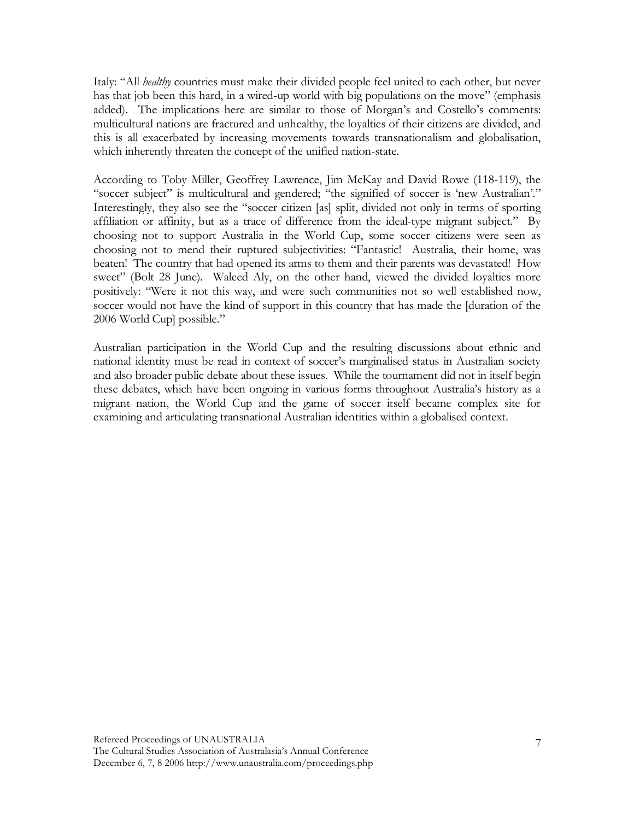Italy: "All *healthy* countries must make their divided people feel united to each other, but never has that job been this hard, in a wired-up world with big populations on the move" (emphasis added). The implications here are similar to those of Morgan's and Costello's comments: multicultural nations are fractured and unhealthy, the loyalties of their citizens are divided, and this is all exacerbated by increasing movements towards transnationalism and globalisation, which inherently threaten the concept of the unified nation-state.

According to Toby Miller, Geoffrey Lawrence, Jim McKay and David Rowe (118-119), the "soccer subject" is multicultural and gendered; "the signified of soccer is 'new Australian'." Interestingly, they also see the "soccer citizen [as] split, divided not only in terms of sporting affiliation or affinity, but as a trace of difference from the ideal-type migrant subject." By choosing not to support Australia in the World Cup, some soccer citizens were seen as choosing not to mend their ruptured subjectivities: "Fantastic! Australia, their home, was beaten! The country that had opened its arms to them and their parents was devastated! How sweet" (Bolt 28 June). Waleed Aly, on the other hand, viewed the divided loyalties more positively: "Were it not this way, and were such communities not so well established now, soccer would not have the kind of support in this country that has made the [duration of the 2006 World Cup] possible."

Australian participation in the World Cup and the resulting discussions about ethnic and national identity must be read in context of soccer's marginalised status in Australian society and also broader public debate about these issues. While the tournament did not in itself begin these debates, which have been ongoing in various forms throughout Australia's history as a migrant nation, the World Cup and the game of soccer itself became complex site for examining and articulating transnational Australian identities within a globalised context.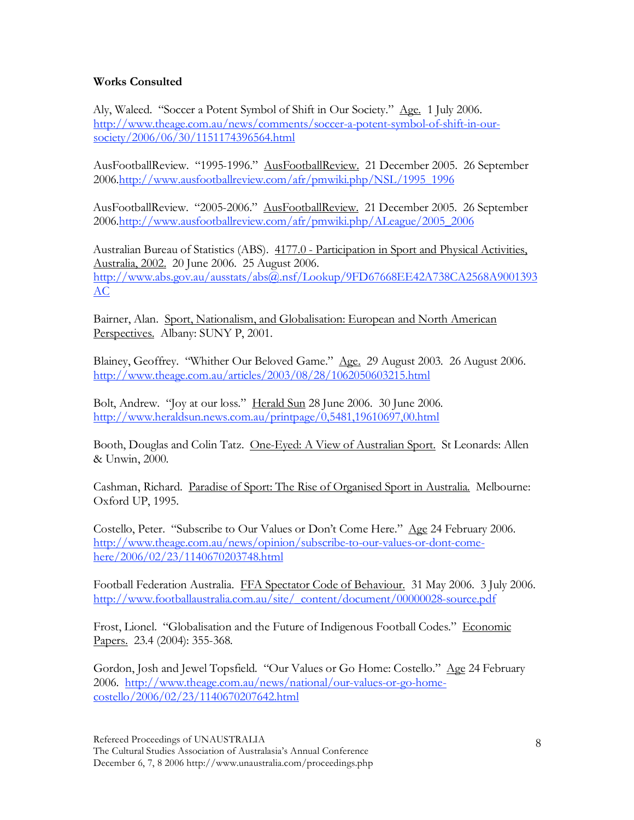# **Works Consulted**

Aly, Waleed. "Soccer a Potent Symbol of Shift in Our Society." Age. 1 July 2006. http://www.theage.com.au/news/comments/soccer-a-potent-symbol-of-shift-in-oursociety/2006/06/30/1151174396564.html

AusFootballReview. "1995-1996." AusFootballReview. 21 December 2005. 26 September 2006.http://www.ausfootballreview.com/afr/pmwiki.php/NSL/1995\_1996

AusFootballReview. "2005-2006." AusFootballReview. 21 December 2005. 26 September 2006.http://www.ausfootballreview.com/afr/pmwiki.php/ALeague/2005\_2006

Australian Bureau of Statistics (ABS). 4177.0 - Participation in Sport and Physical Activities, Australia, 2002. 20 June 2006. 25 August 2006. http://www.abs.gov.au/ausstats/abs@.nsf/Lookup/9FD67668EE42A738CA2568A9001393 AC

Bairner, Alan. Sport, Nationalism, and Globalisation: European and North American Perspectives. Albany: SUNY P, 2001.

Blainey, Geoffrey. "Whither Our Beloved Game." Age. 29 August 2003. 26 August 2006. http://www.theage.com.au/articles/2003/08/28/1062050603215.html

Bolt, Andrew. "Joy at our loss." Herald Sun 28 June 2006. 30 June 2006. http://www.heraldsun.news.com.au/printpage/0,5481,19610697,00.html

Booth, Douglas and Colin Tatz. One-Eyed: A View of Australian Sport. St Leonards: Allen & Unwin, 2000.

Cashman, Richard. Paradise of Sport: The Rise of Organised Sport in Australia. Melbourne: Oxford UP, 1995.

Costello, Peter. "Subscribe to Our Values or Don't Come Here." Age 24 February 2006. http://www.theage.com.au/news/opinion/subscribe-to-our-values-or-dont-comehere/2006/02/23/1140670203748.html

Football Federation Australia. FFA Spectator Code of Behaviour. 31 May 2006. 3 July 2006. http://www.footballaustralia.com.au/site/\_content/document/00000028-source.pdf

Frost, Lionel. "Globalisation and the Future of Indigenous Football Codes." Economic Papers. 23.4 (2004): 355-368.

Gordon, Josh and Jewel Topsfield. "Our Values or Go Home: Costello." Age 24 February 2006. http://www.theage.com.au/news/national/our-values-or-go-homecostello/2006/02/23/1140670207642.html